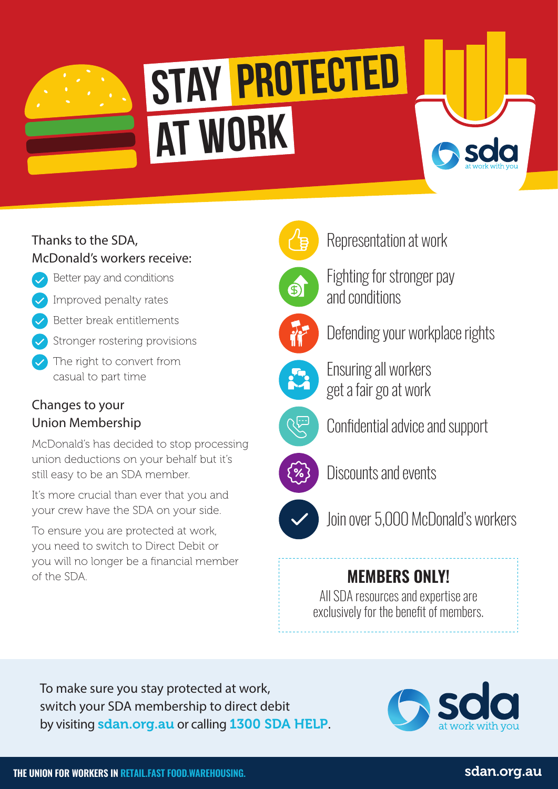

# **at work STAY PROTECTED**

# Thanks to the SDA, McDonald's workers receive:

- Better pay and conditions
- Improved penalty rates
- Better break entitlements
- Stronger rostering provisions
- The right to convert from casual to part time

# Changes to your Union Membership

McDonald's has decided to stop processing union deductions on your behalf but it's still easy to be an SDA member.

It's more crucial than ever that you and your crew have the SDA on your side.

To ensure you are protected at work, you need to switch to Direct Debit or you will no longer be a financial member of the SDA. **MEMBERS ONLY!**



Representation at work



Fighting for stronger pay and conditions



Defending your workplace rights

Sda



Ensuring all workers get a fair go at work



Confidential advice and support



Discounts and events



Join over 5,000 McDonald's workers

All SDA resources and expertise are exclusively for the benefit of members.

To make sure you stay protected at work, switch your SDA membership to direct debit by visiting sdan.org.au or calling 1300 SDA HELP.